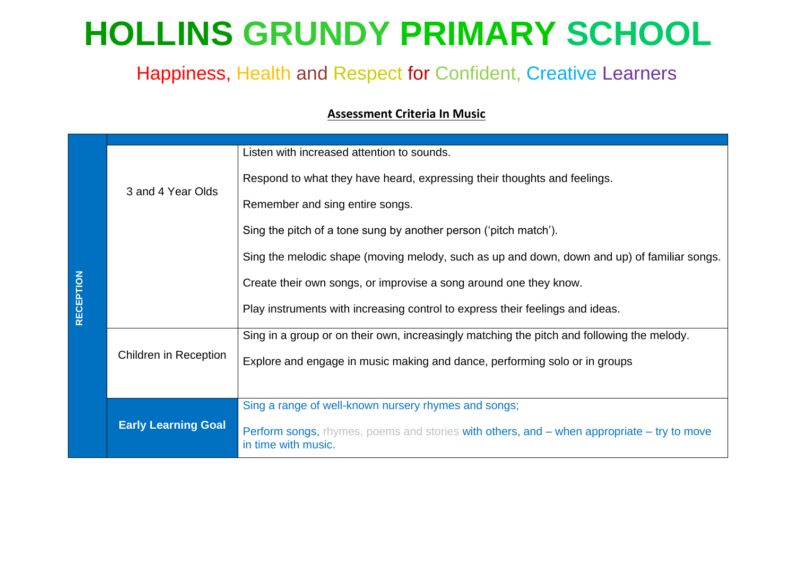# **HOLLINS GRUNDY PRIMARY SCHOOL**

## Happiness, Health and Respect for Confident, Creative Learners

#### **Assessment Criteria In Music**

|                  |                              | Listen with increased attention to sounds.                                                                               |
|------------------|------------------------------|--------------------------------------------------------------------------------------------------------------------------|
|                  | 3 and 4 Year Olds            | Respond to what they have heard, expressing their thoughts and feelings.                                                 |
|                  |                              | Remember and sing entire songs.                                                                                          |
|                  |                              | Sing the pitch of a tone sung by another person ('pitch match').                                                         |
|                  |                              | Sing the melodic shape (moving melody, such as up and down, down and up) of familiar songs.                              |
|                  |                              | Create their own songs, or improvise a song around one they know.                                                        |
| <b>RECEPTION</b> |                              | Play instruments with increasing control to express their feelings and ideas.                                            |
|                  |                              | Sing in a group or on their own, increasingly matching the pitch and following the melody.                               |
|                  | <b>Children in Reception</b> | Explore and engage in music making and dance, performing solo or in groups                                               |
|                  |                              |                                                                                                                          |
|                  |                              | Sing a range of well-known nursery rhymes and songs;                                                                     |
|                  | <b>Early Learning Goal</b>   | <b>Perform songs,</b> rhymes, poems and stories with others, and – when appropriate – try to move<br>in time with music. |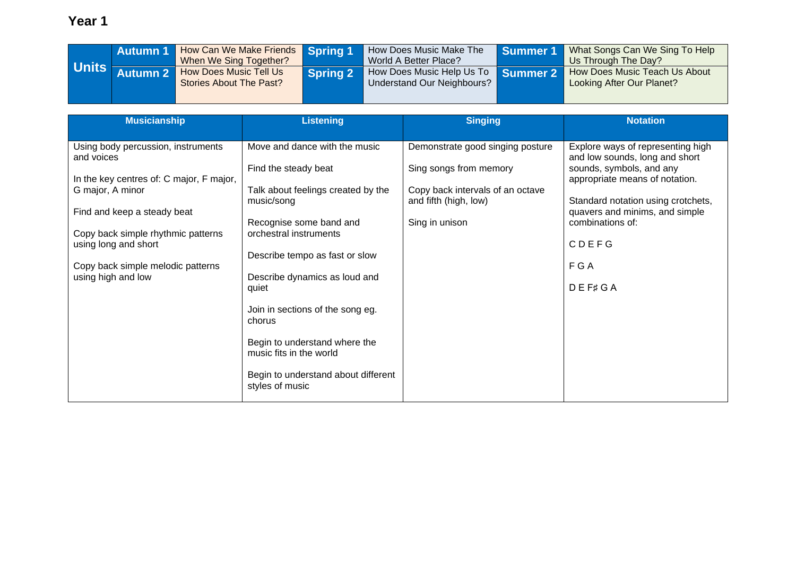|              | Autumn 1 | How Can We Make Friends Spring 1/<br>When We Sing Together? |                 | How Does Music Make The<br>World A Better Place?        | Summer 1 | What Songs Can We Sing To Help<br>Us Through The Day?      |
|--------------|----------|-------------------------------------------------------------|-----------------|---------------------------------------------------------|----------|------------------------------------------------------------|
| <b>Units</b> |          | <b>How Does Music Tell Us</b><br>Stories About The Past?    | <b>Spring 2</b> | How Does Music Help Us To<br>Understand Our Neighbours? | Summer 2 | How Does Music Teach Us About<br>Looking After Our Planet? |

| <b>Musicianship</b>                                                                                                                                                                                                                                                      | <b>Listening</b>                                                                                                                                                                                                                                                                                                                                                                                               | <b>Singing</b>                                                                                                                            | <b>Notation</b>                                                                                                                                                                                                                                                              |
|--------------------------------------------------------------------------------------------------------------------------------------------------------------------------------------------------------------------------------------------------------------------------|----------------------------------------------------------------------------------------------------------------------------------------------------------------------------------------------------------------------------------------------------------------------------------------------------------------------------------------------------------------------------------------------------------------|-------------------------------------------------------------------------------------------------------------------------------------------|------------------------------------------------------------------------------------------------------------------------------------------------------------------------------------------------------------------------------------------------------------------------------|
| Using body percussion, instruments<br>and voices<br>In the key centres of: C major, F major,<br>G major, A minor<br>Find and keep a steady beat<br>Copy back simple rhythmic patterns<br>using long and short<br>Copy back simple melodic patterns<br>using high and low | Move and dance with the music<br>Find the steady beat<br>Talk about feelings created by the<br>music/song<br>Recognise some band and<br>orchestral instruments<br>Describe tempo as fast or slow<br>Describe dynamics as loud and<br>quiet<br>Join in sections of the song eg.<br>chorus<br>Begin to understand where the<br>music fits in the world<br>Begin to understand about different<br>styles of music | Demonstrate good singing posture<br>Sing songs from memory<br>Copy back intervals of an octave<br>and fifth (high, low)<br>Sing in unison | Explore ways of representing high<br>and low sounds, long and short<br>sounds, symbols, and any<br>appropriate means of notation.<br>Standard notation using crotchets,<br>quavers and minims, and simple<br>combinations of:<br><b>CDEFG</b><br>F G A<br>$D E F \sharp G A$ |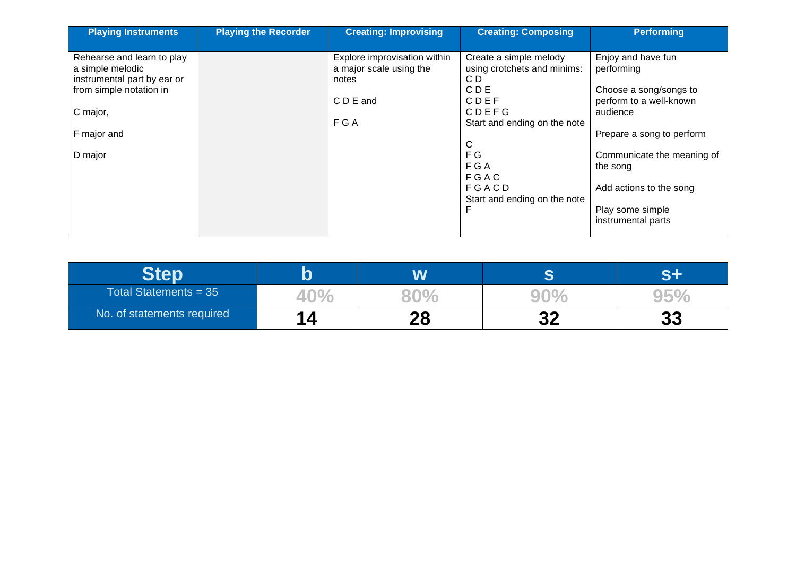| <b>Playing Instruments</b>                                                                                                                     | <b>Playing the Recorder</b> | <b>Creating: Improvising</b>                                                           | <b>Creating: Composing</b>                                                                                                                                                                   | <b>Performing</b>                                                                                                                                                                                                                             |
|------------------------------------------------------------------------------------------------------------------------------------------------|-----------------------------|----------------------------------------------------------------------------------------|----------------------------------------------------------------------------------------------------------------------------------------------------------------------------------------------|-----------------------------------------------------------------------------------------------------------------------------------------------------------------------------------------------------------------------------------------------|
| Rehearse and learn to play<br>a simple melodic<br>instrumental part by ear or<br>from simple notation in<br>C major,<br>F major and<br>D major |                             | Explore improvisation within<br>a major scale using the<br>notes<br>C D E and<br>F G A | Create a simple melody<br>using crotchets and minims:<br>C D<br>C D E<br>CDEF<br>CDEFG<br>Start and ending on the note<br>С<br>F G<br>F G A<br>FGAC<br>FGACD<br>Start and ending on the note | Enjoy and have fun<br>performing<br>Choose a song/songs to<br>perform to a well-known<br>audience<br>Prepare a song to perform<br>Communicate the meaning of<br>the song<br>Add actions to the song<br>Play some simple<br>instrumental parts |

|                            |          | æ                |          |
|----------------------------|----------|------------------|----------|
| Total Statements = $35$    |          |                  |          |
| No. of statements required | 90<br>40 | CC.<br><u>Ja</u> | CC<br>00 |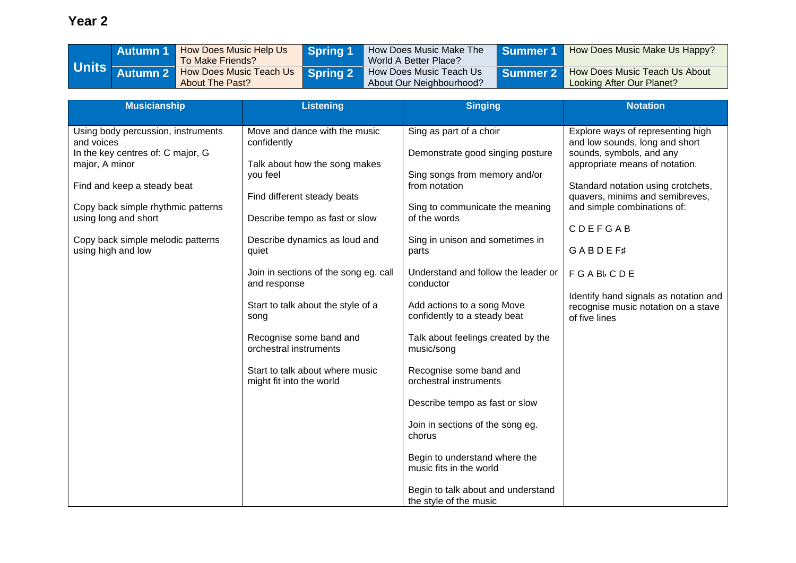|              | <b>Autumn 1</b> | How Does Music Help Us<br>To Make Friends?        | <b>Spring 1</b> | How Does Music Make The<br>World A Better Place?    | Summer 1/ | How Does Music Make Us Happy?                                       |
|--------------|-----------------|---------------------------------------------------|-----------------|-----------------------------------------------------|-----------|---------------------------------------------------------------------|
| <b>Units</b> | <b>Autumn 2</b> | How Does Music Teach Us<br><b>About The Past?</b> | Spring 2        | How Does Music Teach Us<br>About Our Neighbourhood? |           | Summer 2 How Does Music Teach Us About<br>Looking After Our Planet? |

| <b>Musicianship</b>                              | <b>Listening</b>                             | <b>Singing</b>                      | <b>Notation</b>                                                              |
|--------------------------------------------------|----------------------------------------------|-------------------------------------|------------------------------------------------------------------------------|
|                                                  |                                              |                                     |                                                                              |
| Using body percussion, instruments<br>and voices | Move and dance with the music<br>confidently | Sing as part of a choir             | Explore ways of representing high<br>and low sounds, long and short          |
| In the key centres of: C major, G                |                                              | Demonstrate good singing posture    | sounds, symbols, and any                                                     |
| major, A minor                                   | Talk about how the song makes                |                                     | appropriate means of notation.                                               |
|                                                  | you feel                                     | Sing songs from memory and/or       |                                                                              |
| Find and keep a steady beat                      |                                              | from notation                       | Standard notation using crotchets,                                           |
|                                                  | Find different steady beats                  |                                     | quavers, minims and semibreves,                                              |
| Copy back simple rhythmic patterns               |                                              | Sing to communicate the meaning     | and simple combinations of:                                                  |
| using long and short                             | Describe tempo as fast or slow               | of the words                        | CDEFGAB                                                                      |
| Copy back simple melodic patterns                | Describe dynamics as loud and                | Sing in unison and sometimes in     |                                                                              |
| using high and low                               | quiet                                        | parts                               | <b>GABDEF#</b>                                                               |
|                                                  |                                              |                                     |                                                                              |
|                                                  | Join in sections of the song eg. call        | Understand and follow the leader or | <b>FGAB</b> <sub>b</sub> CDE                                                 |
|                                                  | and response                                 | conductor                           |                                                                              |
|                                                  | Start to talk about the style of a           | Add actions to a song Move          | Identify hand signals as notation and<br>recognise music notation on a stave |
|                                                  | song                                         | confidently to a steady beat        | of five lines                                                                |
|                                                  |                                              |                                     |                                                                              |
|                                                  | Recognise some band and                      | Talk about feelings created by the  |                                                                              |
|                                                  | orchestral instruments                       | music/song                          |                                                                              |
|                                                  | Start to talk about where music              | Recognise some band and             |                                                                              |
|                                                  | might fit into the world                     | orchestral instruments              |                                                                              |
|                                                  |                                              |                                     |                                                                              |
|                                                  |                                              | Describe tempo as fast or slow      |                                                                              |
|                                                  |                                              |                                     |                                                                              |
|                                                  |                                              | Join in sections of the song eg.    |                                                                              |
|                                                  |                                              | chorus                              |                                                                              |
|                                                  |                                              | Begin to understand where the       |                                                                              |
|                                                  |                                              | music fits in the world             |                                                                              |
|                                                  |                                              |                                     |                                                                              |
|                                                  |                                              | Begin to talk about and understand  |                                                                              |
|                                                  |                                              | the style of the music              |                                                                              |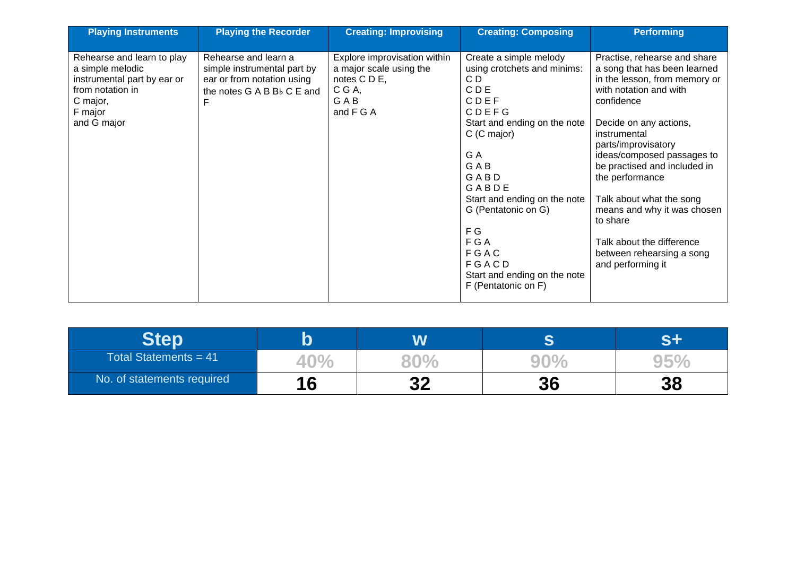| <b>Playing Instruments</b>                                                                                                              | <b>Playing the Recorder</b>                                                                                                 | <b>Creating: Improvising</b>                                                                          | <b>Creating: Composing</b>                                                                                                                                                                                                                                                                                                     | <b>Performing</b>                                                                                                                                                                                                                                                                                                                                                                                                                             |
|-----------------------------------------------------------------------------------------------------------------------------------------|-----------------------------------------------------------------------------------------------------------------------------|-------------------------------------------------------------------------------------------------------|--------------------------------------------------------------------------------------------------------------------------------------------------------------------------------------------------------------------------------------------------------------------------------------------------------------------------------|-----------------------------------------------------------------------------------------------------------------------------------------------------------------------------------------------------------------------------------------------------------------------------------------------------------------------------------------------------------------------------------------------------------------------------------------------|
| Rehearse and learn to play<br>a simple melodic<br>instrumental part by ear or<br>from notation in<br>C major,<br>F major<br>and G major | Rehearse and learn a<br>simple instrumental part by<br>ear or from notation using<br>the notes G A B B <sub>b</sub> C E and | Explore improvisation within<br>a major scale using the<br>notes C D E,<br>C G A,<br>GAB<br>and F G A | Create a simple melody<br>using crotchets and minims:<br>CD<br>CDE<br>CDEF<br><b>CDEFG</b><br>Start and ending on the note<br>C (C major)<br>G A<br><b>GAB</b><br>GABD<br>GABDE<br>Start and ending on the note<br>G (Pentatonic on G)<br>F G<br>F G A<br>FGAC<br>FGACD<br>Start and ending on the note<br>F (Pentatonic on F) | Practise, rehearse and share<br>a song that has been learned<br>in the lesson, from memory or<br>with notation and with<br>confidence<br>Decide on any actions,<br>instrumental<br>parts/improvisatory<br>ideas/composed passages to<br>be practised and included in<br>the performance<br>Talk about what the song<br>means and why it was chosen<br>to share<br>Talk about the difference<br>between rehearsing a song<br>and performing it |

|                            |     | W        | ⌒  |          |
|----------------------------|-----|----------|----|----------|
| Total Statements = $41$    | 40. |          |    |          |
| No. of statements required |     | っっ<br>◡▴ | 36 | 20<br>JQ |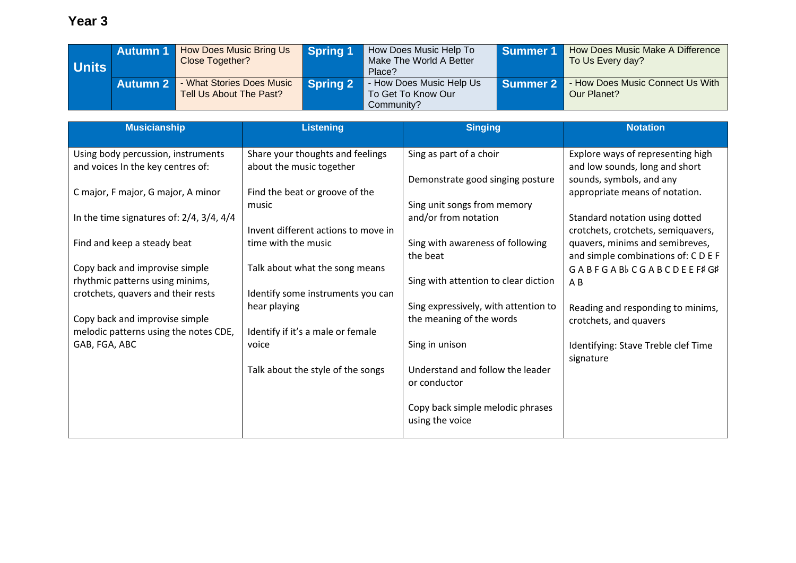| <b>Units</b> | <b>Autumn 1</b> | How Does Music Bring Us<br>Close Together?           | <b>Spring 1</b> | How Does Music Help To<br>Make The World A Better<br>Place?  | Summer 1        | How Does Music Make A Difference<br>To Us Every day? |
|--------------|-----------------|------------------------------------------------------|-----------------|--------------------------------------------------------------|-----------------|------------------------------------------------------|
|              | <b>Autumn 2</b> | - What Stories Does Music<br>Tell Us About The Past? | <b>Spring 2</b> | - How Does Music Help Us<br>To Get To Know Our<br>Community? | <b>Summer 2</b> | - How Does Music Connect Us With<br>Our Planet?      |

| <b>Musicianship</b>                              | <b>Listening</b>                    | <b>Singing</b>                                      | <b>Notation</b>                     |
|--------------------------------------------------|-------------------------------------|-----------------------------------------------------|-------------------------------------|
| Using body percussion, instruments               | Share your thoughts and feelings    | Sing as part of a choir                             | Explore ways of representing high   |
| and voices In the key centres of:                | about the music together            |                                                     | and low sounds, long and short      |
|                                                  |                                     | Demonstrate good singing posture                    | sounds, symbols, and any            |
| C major, F major, G major, A minor               | Find the beat or groove of the      |                                                     | appropriate means of notation.      |
|                                                  | music                               | Sing unit songs from memory                         |                                     |
| In the time signatures of: $2/4$ , $3/4$ , $4/4$ |                                     | and/or from notation                                | Standard notation using dotted      |
|                                                  | Invent different actions to move in |                                                     | crotchets, crotchets, semiquavers,  |
| Find and keep a steady beat                      | time with the music                 | Sing with awareness of following                    | quavers, minims and semibreves,     |
|                                                  |                                     | the beat                                            | and simple combinations of: CDEF    |
| Copy back and improvise simple                   | Talk about what the song means      |                                                     | GABFGABbCGABCDEEF#G#                |
| rhythmic patterns using minims,                  |                                     | Sing with attention to clear diction                | AB                                  |
| crotchets, quavers and their rests               | Identify some instruments you can   |                                                     |                                     |
|                                                  | hear playing                        | Sing expressively, with attention to                | Reading and responding to minims,   |
| Copy back and improvise simple                   |                                     | the meaning of the words                            | crotchets, and quavers              |
| melodic patterns using the notes CDE,            | Identify if it's a male or female   |                                                     |                                     |
| GAB, FGA, ABC                                    | voice                               | Sing in unison                                      | Identifying: Stave Treble clef Time |
|                                                  |                                     |                                                     | signature                           |
|                                                  | Talk about the style of the songs   | Understand and follow the leader                    |                                     |
|                                                  |                                     | or conductor                                        |                                     |
|                                                  |                                     |                                                     |                                     |
|                                                  |                                     | Copy back simple melodic phrases<br>using the voice |                                     |
|                                                  |                                     |                                                     |                                     |
|                                                  |                                     |                                                     |                                     |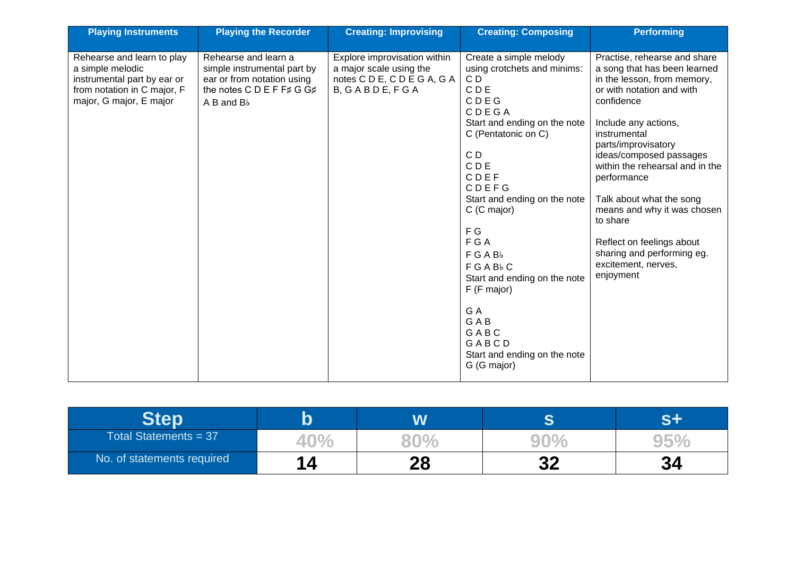| <b>Playing Instruments</b>                                                                                                              | <b>Playing the Recorder</b>                                                                                                                  | <b>Creating: Improvising</b>                                                                            | <b>Creating: Composing</b>                                                                                                                                                                                                                                                                                                                                                                     | <b>Performing</b>                                                                                                                                                                                                                                                                                                                                                                                                                                        |
|-----------------------------------------------------------------------------------------------------------------------------------------|----------------------------------------------------------------------------------------------------------------------------------------------|---------------------------------------------------------------------------------------------------------|------------------------------------------------------------------------------------------------------------------------------------------------------------------------------------------------------------------------------------------------------------------------------------------------------------------------------------------------------------------------------------------------|----------------------------------------------------------------------------------------------------------------------------------------------------------------------------------------------------------------------------------------------------------------------------------------------------------------------------------------------------------------------------------------------------------------------------------------------------------|
| Rehearse and learn to play<br>a simple melodic<br>instrumental part by ear or<br>from notation in C major, F<br>major, G major, E major | Rehearse and learn a<br>simple instrumental part by<br>ear or from notation using<br>the notes C D E F F# G G#<br>$A$ B and $B$ <sub>b</sub> | Explore improvisation within<br>a major scale using the<br>notes C D E, C D E G A, G A<br>B, GABDE, FGA | Create a simple melody<br>using crotchets and minims:<br>CD<br>CDE<br>CDEG<br>CDEGA<br>Start and ending on the note<br>C (Pentatonic on C)<br>CD<br>CDE<br>CDEF<br>CDEFG<br>Start and ending on the note<br>C (C major)<br>F G<br>F G A<br>FGABb<br>FGABbC<br>Start and ending on the note<br>F (F major)<br>G A<br><b>GAB</b><br>GABC<br>GABCD<br>Start and ending on the note<br>G (G major) | Practise, rehearse and share<br>a song that has been learned<br>in the lesson, from memory,<br>or with notation and with<br>confidence<br>Include any actions,<br>instrumental<br>parts/improvisatory<br>ideas/composed passages<br>within the rehearsal and in the<br>performance<br>Talk about what the song<br>means and why it was chosen<br>to share<br>Reflect on feelings about<br>sharing and performing eg.<br>excitement, nerves,<br>enjoyment |

|                            |                | W        | ⌒        |                |
|----------------------------|----------------|----------|----------|----------------|
| Total Statements = 37      | 10<br>4U<br>70 |          |          |                |
| No. of statements required | 14             | 20<br>ΔO | っっ<br>JŁ | <b>0</b><br>V7 |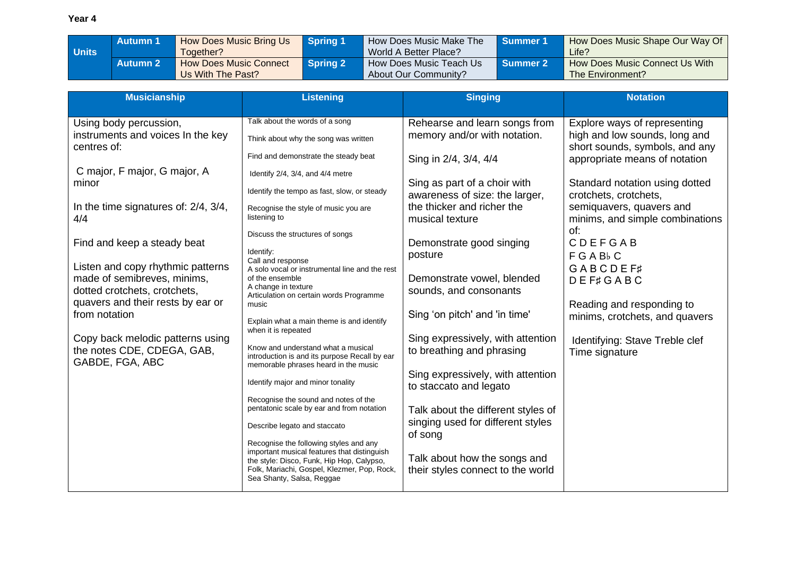|              | <b>Autumn 1</b> | <b>How Does Music Bring Us</b> | <b>Spring 1</b> | How Does Music Make The | <b>Summer 1</b> | How Does Music Shape Our Way Of |
|--------------|-----------------|--------------------------------|-----------------|-------------------------|-----------------|---------------------------------|
| <b>Units</b> |                 | Together?                      |                 | World A Better Place?   |                 | Life?                           |
|              | <b>Autumn 2</b> | <b>How Does Music Connect</b>  | <b>Spring 2</b> | How Does Music Teach Us | <b>Summer 2</b> | How Does Music Connect Us With  |
|              |                 | Us With The Past?              |                 | About Our Community?    |                 | The Environment?                |

| <b>Musicianship</b>                                                                                                                   | <b>Listening</b>                                                                                                                                                     | <b>Singing</b>                                                                         | <b>Notation</b>                                                                                                                  |
|---------------------------------------------------------------------------------------------------------------------------------------|----------------------------------------------------------------------------------------------------------------------------------------------------------------------|----------------------------------------------------------------------------------------|----------------------------------------------------------------------------------------------------------------------------------|
| Using body percussion,<br>instruments and voices In the key<br>centres of:                                                            | Talk about the words of a song<br>Think about why the song was written<br>Find and demonstrate the steady beat                                                       | Rehearse and learn songs from<br>memory and/or with notation.<br>Sing in 2/4, 3/4, 4/4 | Explore ways of representing<br>high and low sounds, long and<br>short sounds, symbols, and any<br>appropriate means of notation |
| C major, F major, G major, A<br>minor                                                                                                 | Identify 2/4, 3/4, and 4/4 metre<br>Identify the tempo as fast, slow, or steady                                                                                      | Sing as part of a choir with<br>awareness of size: the larger,                         | Standard notation using dotted<br>crotchets, crotchets,                                                                          |
| In the time signatures of: 2/4, 3/4,<br>4/4                                                                                           | Recognise the style of music you are<br>listening to                                                                                                                 | the thicker and richer the<br>musical texture                                          | semiquavers, quavers and<br>minims, and simple combinations<br>of:                                                               |
| Find and keep a steady beat                                                                                                           | Discuss the structures of songs<br>Identify:<br>Call and response                                                                                                    | Demonstrate good singing<br>posture                                                    | CDEFGAB<br>FGABbC                                                                                                                |
| Listen and copy rhythmic patterns<br>made of semibreves, minims,<br>dotted crotchets, crotchets,<br>quavers and their rests by ear or | A solo vocal or instrumental line and the rest<br>of the ensemble<br>A change in texture<br>Articulation on certain words Programme                                  | Demonstrate vowel, blended<br>sounds, and consonants                                   | <b>GABCDEF#</b><br><b>DEF#GABC</b>                                                                                               |
| from notation                                                                                                                         | music<br>Explain what a main theme is and identify<br>when it is repeated                                                                                            | Sing 'on pitch' and 'in time'                                                          | Reading and responding to<br>minims, crotchets, and quavers                                                                      |
| Copy back melodic patterns using<br>the notes CDE, CDEGA, GAB,<br>GABDE, FGA, ABC                                                     | Know and understand what a musical<br>introduction is and its purpose Recall by ear<br>memorable phrases heard in the music                                          | Sing expressively, with attention<br>to breathing and phrasing                         | Identifying: Stave Treble clef<br>Time signature                                                                                 |
|                                                                                                                                       | Identify major and minor tonality                                                                                                                                    | Sing expressively, with attention<br>to staccato and legato                            |                                                                                                                                  |
|                                                                                                                                       | Recognise the sound and notes of the<br>pentatonic scale by ear and from notation                                                                                    | Talk about the different styles of<br>singing used for different styles                |                                                                                                                                  |
|                                                                                                                                       | Describe legato and staccato<br>Recognise the following styles and any                                                                                               | of song                                                                                |                                                                                                                                  |
|                                                                                                                                       | important musical features that distinguish<br>the style: Disco, Funk, Hip Hop, Calypso,<br>Folk, Mariachi, Gospel, Klezmer, Pop, Rock,<br>Sea Shanty, Salsa, Reggae | Talk about how the songs and<br>their styles connect to the world                      |                                                                                                                                  |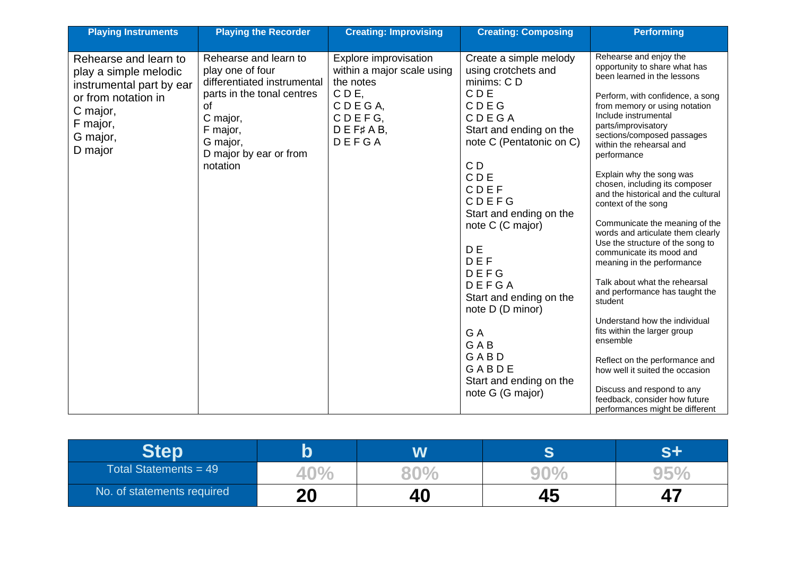| <b>Playing Instruments</b>                                                                                                                       | <b>Playing the Recorder</b>                                                                                                                                                            | <b>Creating: Improvising</b>                                                                                                | <b>Creating: Composing</b>                                                                                                                                                                                                                                                                                                                                                                                    | <b>Performing</b>                                                                                                                                                                                                                                                                                                                                                                                                                                                                                                                                                                                                                                                                                                                                                                                                                                                                                                      |
|--------------------------------------------------------------------------------------------------------------------------------------------------|----------------------------------------------------------------------------------------------------------------------------------------------------------------------------------------|-----------------------------------------------------------------------------------------------------------------------------|---------------------------------------------------------------------------------------------------------------------------------------------------------------------------------------------------------------------------------------------------------------------------------------------------------------------------------------------------------------------------------------------------------------|------------------------------------------------------------------------------------------------------------------------------------------------------------------------------------------------------------------------------------------------------------------------------------------------------------------------------------------------------------------------------------------------------------------------------------------------------------------------------------------------------------------------------------------------------------------------------------------------------------------------------------------------------------------------------------------------------------------------------------------------------------------------------------------------------------------------------------------------------------------------------------------------------------------------|
| Rehearse and learn to<br>play a simple melodic<br>instrumental part by ear<br>or from notation in<br>C major,<br>F major,<br>G major,<br>D major | Rehearse and learn to<br>play one of four<br>differentiated instrumental<br>parts in the tonal centres<br>0f<br>C major,<br>F major,<br>G major,<br>D major by ear or from<br>notation | Explore improvisation<br>within a major scale using<br>the notes<br>CDE.<br>CDEGA,<br>CDEFG,<br>$D E F \sharp A B$<br>DEFGA | Create a simple melody<br>using crotchets and<br>minims: CD<br><b>CDE</b><br>CDEG<br>CDEGA<br>Start and ending on the<br>note C (Pentatonic on C)<br>C <sub>D</sub><br>CDE<br>CDEF<br>CDEFG<br>Start and ending on the<br>note C (C major)<br>D E<br>DEF<br>DEFG<br>DEFGA<br>Start and ending on the<br>note D (D minor)<br>G A<br><b>GAB</b><br>GABD<br>GABDE<br>Start and ending on the<br>note G (G major) | Rehearse and enjoy the<br>opportunity to share what has<br>been learned in the lessons<br>Perform, with confidence, a song<br>from memory or using notation<br>Include instrumental<br>parts/improvisatory<br>sections/composed passages<br>within the rehearsal and<br>performance<br>Explain why the song was<br>chosen, including its composer<br>and the historical and the cultural<br>context of the song<br>Communicate the meaning of the<br>words and articulate them clearly<br>Use the structure of the song to<br>communicate its mood and<br>meaning in the performance<br>Talk about what the rehearsal<br>and performance has taught the<br>student<br>Understand how the individual<br>fits within the larger group<br>ensemble<br>Reflect on the performance and<br>how well it suited the occasion<br>Discuss and respond to any<br>feedback, consider how future<br>performances might be different |

|                            |          | $\boldsymbol{M}$ | æ |      |
|----------------------------|----------|------------------|---|------|
| Total Statements = $49$    | 40       |                  |   | a ba |
| No. of statements required | ററ<br>ΔU | 40               |   |      |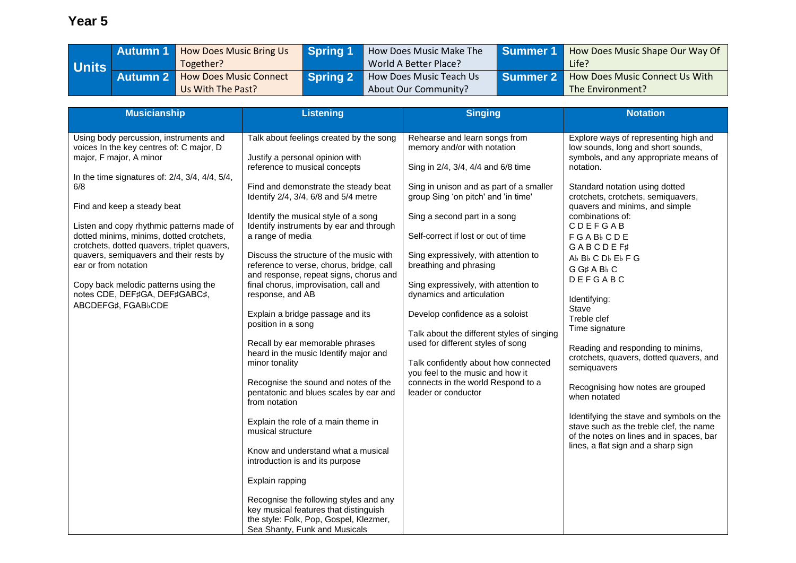|         | <b>Autumn 1</b> | <b>How Does Music Bring Us</b> | <b>Spring 1</b> | How Does Music Make The | I Summer 1 | How Does Music Shape Our Way Of           |
|---------|-----------------|--------------------------------|-----------------|-------------------------|------------|-------------------------------------------|
| Units I |                 | Together?                      |                 | World A Better Place?   |            | Life?                                     |
|         | <b>Autumn 2</b> | <b>How Does Music Connect</b>  | Spring 2        | How Does Music Teach Us |            | Summer 2   How Does Music Connect Us With |
|         |                 | Us With The Past?              |                 | About Our Community?    |            | The Environment?                          |

| <b>Musicianship</b>                                                                                                                                                                                                                                                                                                                                                                                                                                                                                             | <b>Listening</b>                                                                                                                                                                                                                                                                                                                                                                                                                                                                                                                                                                                                                                                                                                                                                                                                                                                                                                                                                                                       | <b>Singing</b>                                                                                                                                                                                                                                                                                                                                                                                                                                                                                                                                                                                                                                                    | <b>Notation</b>                                                                                                                                                                                                                                                                                                                                                                                                                                                                                                                                                                                                                                                                                                                                                            |
|-----------------------------------------------------------------------------------------------------------------------------------------------------------------------------------------------------------------------------------------------------------------------------------------------------------------------------------------------------------------------------------------------------------------------------------------------------------------------------------------------------------------|--------------------------------------------------------------------------------------------------------------------------------------------------------------------------------------------------------------------------------------------------------------------------------------------------------------------------------------------------------------------------------------------------------------------------------------------------------------------------------------------------------------------------------------------------------------------------------------------------------------------------------------------------------------------------------------------------------------------------------------------------------------------------------------------------------------------------------------------------------------------------------------------------------------------------------------------------------------------------------------------------------|-------------------------------------------------------------------------------------------------------------------------------------------------------------------------------------------------------------------------------------------------------------------------------------------------------------------------------------------------------------------------------------------------------------------------------------------------------------------------------------------------------------------------------------------------------------------------------------------------------------------------------------------------------------------|----------------------------------------------------------------------------------------------------------------------------------------------------------------------------------------------------------------------------------------------------------------------------------------------------------------------------------------------------------------------------------------------------------------------------------------------------------------------------------------------------------------------------------------------------------------------------------------------------------------------------------------------------------------------------------------------------------------------------------------------------------------------------|
| Using body percussion, instruments and<br>voices In the key centres of: C major, D<br>major, F major, A minor<br>In the time signatures of: 2/4, 3/4, 4/4, 5/4,<br>6/8<br>Find and keep a steady beat<br>Listen and copy rhythmic patterns made of<br>dotted minims, minims, dotted crotchets,<br>crotchets, dotted quavers, triplet quavers,<br>quavers, semiquavers and their rests by<br>ear or from notation<br>Copy back melodic patterns using the<br>notes CDE, DEF#GA, DEF#GABC#,<br>ABCDEFG#, FGABbCDE | Talk about feelings created by the song<br>Justify a personal opinion with<br>reference to musical concepts<br>Find and demonstrate the steady beat<br>Identify 2/4, 3/4, 6/8 and 5/4 metre<br>Identify the musical style of a song<br>Identify instruments by ear and through<br>a range of media<br>Discuss the structure of the music with<br>reference to verse, chorus, bridge, call<br>and response, repeat signs, chorus and<br>final chorus, improvisation, call and<br>response, and AB<br>Explain a bridge passage and its<br>position in a song<br>Recall by ear memorable phrases<br>heard in the music Identify major and<br>minor tonality<br>Recognise the sound and notes of the<br>pentatonic and blues scales by ear and<br>from notation<br>Explain the role of a main theme in<br>musical structure<br>Know and understand what a musical<br>introduction is and its purpose<br>Explain rapping<br>Recognise the following styles and any<br>key musical features that distinguish | Rehearse and learn songs from<br>memory and/or with notation<br>Sing in 2/4, 3/4, 4/4 and 6/8 time<br>Sing in unison and as part of a smaller<br>group Sing 'on pitch' and 'in time'<br>Sing a second part in a song<br>Self-correct if lost or out of time<br>Sing expressively, with attention to<br>breathing and phrasing<br>Sing expressively, with attention to<br>dynamics and articulation<br>Develop confidence as a soloist<br>Talk about the different styles of singing<br>used for different styles of song<br>Talk confidently about how connected<br>you feel to the music and how it<br>connects in the world Respond to a<br>leader or conductor | Explore ways of representing high and<br>low sounds, long and short sounds,<br>symbols, and any appropriate means of<br>notation.<br>Standard notation using dotted<br>crotchets, crotchets, semiquavers,<br>quavers and minims, and simple<br>combinations of:<br><b>CDEFGAB</b><br><b>FGAB</b> CDE<br><b>GABCDEF#</b><br>Ab Bb C Db Eb F G<br>G G# A B <sub>b</sub> C<br>DEFGABC<br>Identifying:<br>Stave<br>Treble clef<br>Time signature<br>Reading and responding to minims,<br>crotchets, quavers, dotted quavers, and<br>semiguavers<br>Recognising how notes are grouped<br>when notated<br>Identifying the stave and symbols on the<br>stave such as the treble clef, the name<br>of the notes on lines and in spaces, bar<br>lines, a flat sign and a sharp sign |
|                                                                                                                                                                                                                                                                                                                                                                                                                                                                                                                 | the style: Folk, Pop, Gospel, Klezmer,<br>Sea Shanty, Funk and Musicals                                                                                                                                                                                                                                                                                                                                                                                                                                                                                                                                                                                                                                                                                                                                                                                                                                                                                                                                |                                                                                                                                                                                                                                                                                                                                                                                                                                                                                                                                                                                                                                                                   |                                                                                                                                                                                                                                                                                                                                                                                                                                                                                                                                                                                                                                                                                                                                                                            |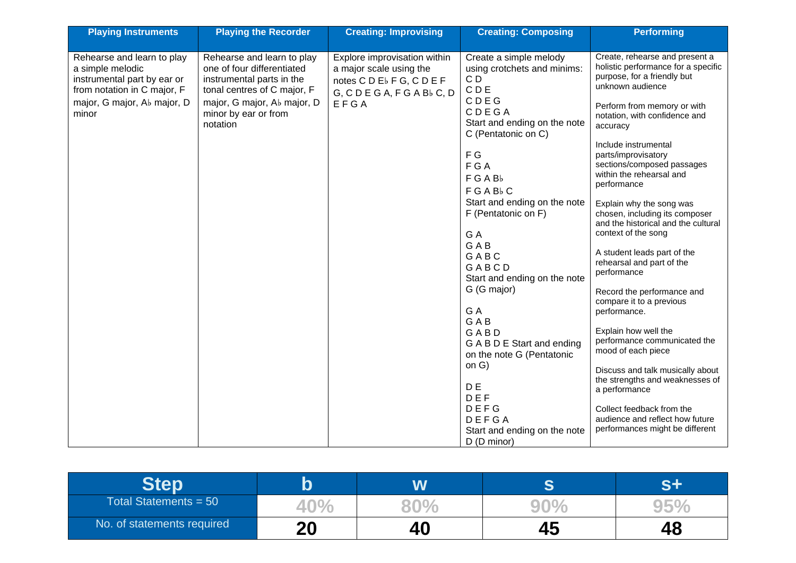| <b>Playing Instruments</b>                                                                                                                           | <b>Playing the Recorder</b>                                                                                                                                                             | <b>Creating: Improvising</b>                                                                                              | <b>Creating: Composing</b>                                                                                                                                    | <b>Performing</b>                                                                                                                                                                                    |
|------------------------------------------------------------------------------------------------------------------------------------------------------|-----------------------------------------------------------------------------------------------------------------------------------------------------------------------------------------|---------------------------------------------------------------------------------------------------------------------------|---------------------------------------------------------------------------------------------------------------------------------------------------------------|------------------------------------------------------------------------------------------------------------------------------------------------------------------------------------------------------|
|                                                                                                                                                      |                                                                                                                                                                                         |                                                                                                                           |                                                                                                                                                               |                                                                                                                                                                                                      |
| Rehearse and learn to play<br>a simple melodic<br>instrumental part by ear or<br>from notation in C major, F<br>major, G major, Ab major, D<br>minor | Rehearse and learn to play<br>one of four differentiated<br>instrumental parts in the<br>tonal centres of C major, F<br>major, G major, Ab major, D<br>minor by ear or from<br>notation | Explore improvisation within<br>a major scale using the<br>notes CDE <sub>b</sub> FG, CDEF<br>G, CDEGA, FGABbC, D<br>EFGA | Create a simple melody<br>using crotchets and minims:<br>C <sub>D</sub><br><b>CDE</b><br>CDEG<br>CDEGA<br>Start and ending on the note<br>C (Pentatonic on C) | Create, rehearse and present a<br>holistic performance for a specific<br>purpose, for a friendly but<br>unknown audience<br>Perform from memory or with<br>notation, with confidence and<br>accuracy |
|                                                                                                                                                      |                                                                                                                                                                                         |                                                                                                                           | F G<br>F G A<br>FGABb<br>FGABbC                                                                                                                               | Include instrumental<br>parts/improvisatory<br>sections/composed passages<br>within the rehearsal and<br>performance                                                                                 |
|                                                                                                                                                      |                                                                                                                                                                                         |                                                                                                                           | Start and ending on the note<br>F (Pentatonic on F)<br>G A                                                                                                    | Explain why the song was<br>chosen, including its composer<br>and the historical and the cultural<br>context of the song                                                                             |
|                                                                                                                                                      |                                                                                                                                                                                         |                                                                                                                           | <b>GAB</b><br>GABC<br>GABCD<br>Start and ending on the note                                                                                                   | A student leads part of the<br>rehearsal and part of the<br>performance                                                                                                                              |
|                                                                                                                                                      |                                                                                                                                                                                         |                                                                                                                           | G (G major)<br>G A<br><b>GAB</b>                                                                                                                              | Record the performance and<br>compare it to a previous<br>performance.                                                                                                                               |
|                                                                                                                                                      |                                                                                                                                                                                         |                                                                                                                           | GABD<br>G A B D E Start and ending<br>on the note G (Pentatonic                                                                                               | Explain how well the<br>performance communicated the<br>mood of each piece                                                                                                                           |
|                                                                                                                                                      |                                                                                                                                                                                         |                                                                                                                           | on G)<br>D E<br>DEF                                                                                                                                           | Discuss and talk musically about<br>the strengths and weaknesses of<br>a performance                                                                                                                 |
|                                                                                                                                                      |                                                                                                                                                                                         |                                                                                                                           | DEFG<br>DEFGA<br>Start and ending on the note<br>D (D minor)                                                                                                  | Collect feedback from the<br>audience and reflect how future<br>performances might be different                                                                                                      |

|                            |           | W  | ◚  |    |
|----------------------------|-----------|----|----|----|
| Total Statements = $50$    | 40.<br>70 |    |    |    |
| No. of statements required | 20        | 40 | 40 | 40 |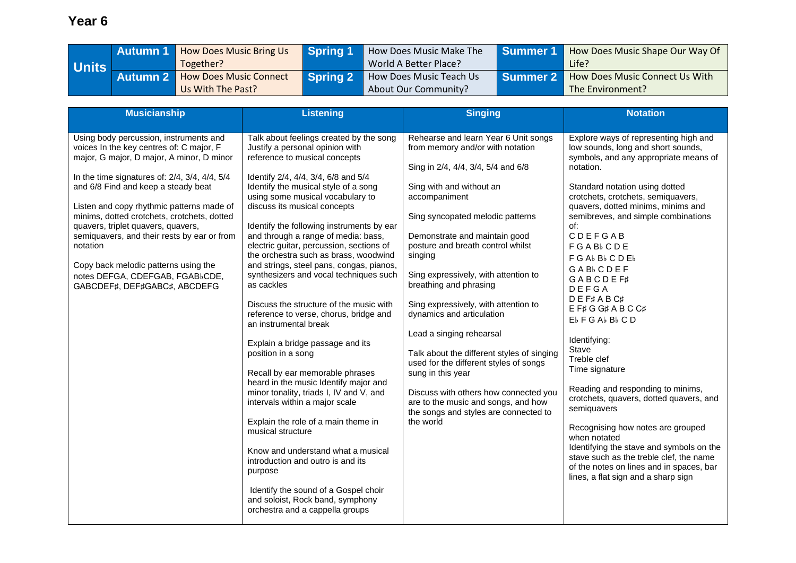|       | / Autumn 1 | <b>How Does Music Bring Us</b> | Spring 1 | How Does Music Make The | l Summer 1 | How Does Music Shape Our Way Of |
|-------|------------|--------------------------------|----------|-------------------------|------------|---------------------------------|
| Units |            | Together?                      |          | World A Better Place?   |            | Life?                           |
|       | Autumn 2/  | <b>How Does Music Connect</b>  | Spring 2 | How Does Music Teach Us | Summer 2   | How Does Music Connect Us With  |
|       |            | Us With The Past?              |          | About Our Community?    |            | The Environment?                |

| <b>Musicianship</b>                                                                                                                                                                                                                                                                                                                                                                                                                                                                                                                        | <b>Listening</b>                                                                                                                                                                                                                                                                                                                                                                                                                                                                                                                                                                                                                                                                                                                                                                                                                                                                                                                                                                                                                                                                                                                              | <b>Singing</b>                                                                                                                                                                                                                                                                                                                                                                                                                                                                                                                                                                                                                                                                                         | <b>Notation</b>                                                                                                                                                                                                                                                                                                                                                                                                                                                                                                                                                                                                                                                                                                                                                                                                                                                |
|--------------------------------------------------------------------------------------------------------------------------------------------------------------------------------------------------------------------------------------------------------------------------------------------------------------------------------------------------------------------------------------------------------------------------------------------------------------------------------------------------------------------------------------------|-----------------------------------------------------------------------------------------------------------------------------------------------------------------------------------------------------------------------------------------------------------------------------------------------------------------------------------------------------------------------------------------------------------------------------------------------------------------------------------------------------------------------------------------------------------------------------------------------------------------------------------------------------------------------------------------------------------------------------------------------------------------------------------------------------------------------------------------------------------------------------------------------------------------------------------------------------------------------------------------------------------------------------------------------------------------------------------------------------------------------------------------------|--------------------------------------------------------------------------------------------------------------------------------------------------------------------------------------------------------------------------------------------------------------------------------------------------------------------------------------------------------------------------------------------------------------------------------------------------------------------------------------------------------------------------------------------------------------------------------------------------------------------------------------------------------------------------------------------------------|----------------------------------------------------------------------------------------------------------------------------------------------------------------------------------------------------------------------------------------------------------------------------------------------------------------------------------------------------------------------------------------------------------------------------------------------------------------------------------------------------------------------------------------------------------------------------------------------------------------------------------------------------------------------------------------------------------------------------------------------------------------------------------------------------------------------------------------------------------------|
| Using body percussion, instruments and<br>voices In the key centres of: C major, F<br>major, G major, D major, A minor, D minor<br>In the time signatures of: $2/4$ , $3/4$ , $4/4$ , $5/4$<br>and 6/8 Find and keep a steady beat<br>Listen and copy rhythmic patterns made of<br>minims, dotted crotchets, crotchets, dotted<br>quavers, triplet quavers, quavers,<br>semiquavers, and their rests by ear or from<br>notation<br>Copy back melodic patterns using the<br>notes DEFGA, CDEFGAB, FGABbCDE,<br>GABCDEF#, DEF#GABC#, ABCDEFG | Talk about feelings created by the song<br>Justify a personal opinion with<br>reference to musical concepts<br>Identify 2/4, 4/4, 3/4, 6/8 and 5/4<br>Identify the musical style of a song<br>using some musical vocabulary to<br>discuss its musical concepts<br>Identify the following instruments by ear<br>and through a range of media: bass,<br>electric guitar, percussion, sections of<br>the orchestra such as brass, woodwind<br>and strings, steel pans, congas, pianos,<br>synthesizers and vocal techniques such<br>as cackles<br>Discuss the structure of the music with<br>reference to verse, chorus, bridge and<br>an instrumental break<br>Explain a bridge passage and its<br>position in a song<br>Recall by ear memorable phrases<br>heard in the music Identify major and<br>minor tonality, triads I, IV and V, and<br>intervals within a major scale<br>Explain the role of a main theme in<br>musical structure<br>Know and understand what a musical<br>introduction and outro is and its<br>purpose<br>Identify the sound of a Gospel choir<br>and soloist, Rock band, symphony<br>orchestra and a cappella groups | Rehearse and learn Year 6 Unit songs<br>from memory and/or with notation<br>Sing in 2/4, 4/4, 3/4, 5/4 and 6/8<br>Sing with and without an<br>accompaniment<br>Sing syncopated melodic patterns<br>Demonstrate and maintain good<br>posture and breath control whilst<br>singing<br>Sing expressively, with attention to<br>breathing and phrasing<br>Sing expressively, with attention to<br>dynamics and articulation<br>Lead a singing rehearsal<br>Talk about the different styles of singing<br>used for the different styles of songs<br>sung in this year<br>Discuss with others how connected you<br>are to the music and songs, and how<br>the songs and styles are connected to<br>the world | Explore ways of representing high and<br>low sounds, long and short sounds,<br>symbols, and any appropriate means of<br>notation.<br>Standard notation using dotted<br>crotchets, crotchets, semiquavers,<br>quavers, dotted minims, minims and<br>semibreves, and simple combinations<br>of:<br>CDEFGAB<br><b>FGAB</b> <sub>CDE</sub><br>F G Ab Bb C D E b<br><b>GAB</b> <sub>b</sub> CDEF<br><b>GABCDEF#</b><br>DEFGA<br>DEF#ABC#<br>EF#GG#ABCC#<br>Eb F G Ab Bb C D<br>Identifying:<br>Stave<br>Treble clef<br>Time signature<br>Reading and responding to minims,<br>crotchets, quavers, dotted quavers, and<br>semiquavers<br>Recognising how notes are grouped<br>when notated<br>Identifying the stave and symbols on the<br>stave such as the treble clef, the name<br>of the notes on lines and in spaces, bar<br>lines, a flat sign and a sharp sign |